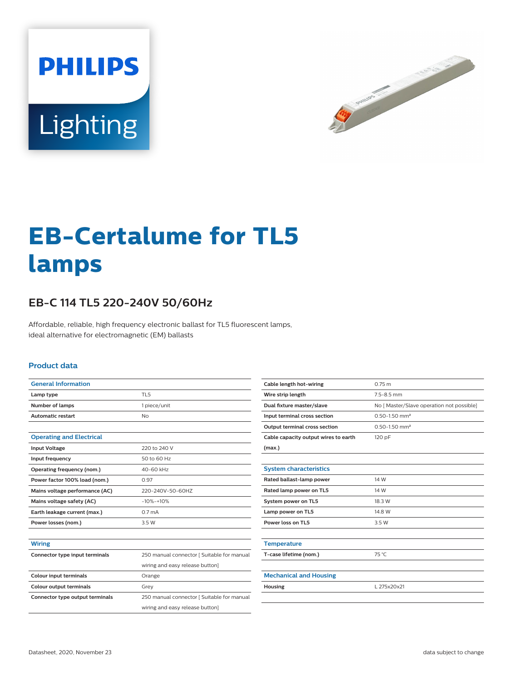



# **EB-Certalume for TL5 lamps**

# **EB-C 114 TL5 220-240V 50/60Hz**

Affordable, reliable, high frequency electronic ballast for TL5 fluorescent lamps, ideal alternative for electromagnetic (EM) ballasts

#### **Product data**

| <b>General Information</b>      |                                            |  |  |  |  |
|---------------------------------|--------------------------------------------|--|--|--|--|
| Lamp type                       | TL <sub>5</sub>                            |  |  |  |  |
| <b>Number of lamps</b>          | 1 piece/unit                               |  |  |  |  |
| <b>Automatic restart</b>        | <b>No</b>                                  |  |  |  |  |
|                                 |                                            |  |  |  |  |
| <b>Operating and Electrical</b> |                                            |  |  |  |  |
| <b>Input Voltage</b>            | 220 to 240 V                               |  |  |  |  |
| Input frequency                 | 50 to 60 Hz                                |  |  |  |  |
| Operating frequency (nom.)      | 40-60 kHz                                  |  |  |  |  |
| Power factor 100% load (nom.)   | 0.97                                       |  |  |  |  |
| Mains voltage performance (AC)  | 220-240V-50-60HZ                           |  |  |  |  |
| Mains voltage safety (AC)       | $-10% -10%$                                |  |  |  |  |
| Earth leakage current (max.)    | 0.7 <sub>mA</sub>                          |  |  |  |  |
| Power losses (nom.)             | 3.5W                                       |  |  |  |  |
|                                 |                                            |  |  |  |  |
| <b>Wiring</b>                   |                                            |  |  |  |  |
| Connector type input terminals  | 250 manual connector [ Suitable for manual |  |  |  |  |
|                                 | wiring and easy release button]            |  |  |  |  |
| <b>Colour input terminals</b>   | Orange                                     |  |  |  |  |
| <b>Colour output terminals</b>  | Grey                                       |  |  |  |  |
| Connector type output terminals | 250 manual connector [ Suitable for manual |  |  |  |  |
|                                 | wiring and easy release button]            |  |  |  |  |
|                                 |                                            |  |  |  |  |

| Cable length hot-wiring              | 0.75 m                                    |  |  |  |  |
|--------------------------------------|-------------------------------------------|--|--|--|--|
| Wire strip length                    | $7.5 - 8.5$ mm                            |  |  |  |  |
| Dual fixture master/slave            | No [ Master/Slave operation not possible] |  |  |  |  |
| Input terminal cross section         | $0.50 - 1.50$ mm <sup>2</sup>             |  |  |  |  |
| Output terminal cross section        | $0.50 - 1.50$ mm <sup>2</sup>             |  |  |  |  |
| Cable capacity output wires to earth | 120 pF                                    |  |  |  |  |
| (max.)                               |                                           |  |  |  |  |
|                                      |                                           |  |  |  |  |
| <b>System characteristics</b>        |                                           |  |  |  |  |
| Rated ballast-lamp power             | 14 W                                      |  |  |  |  |
| Rated lamp power on TL5              | 14 W                                      |  |  |  |  |
| System power on TL5                  | 18.3 W                                    |  |  |  |  |
| Lamp power on TL5                    | 14.8 W                                    |  |  |  |  |
| Power loss on TL5                    | 3.5 W                                     |  |  |  |  |
|                                      |                                           |  |  |  |  |
| <b>Temperature</b>                   |                                           |  |  |  |  |
| T-case lifetime (nom.)               | 75 °C                                     |  |  |  |  |
|                                      |                                           |  |  |  |  |
| <b>Mechanical and Housing</b>        |                                           |  |  |  |  |
| Housing                              | L 275x20x21                               |  |  |  |  |
|                                      |                                           |  |  |  |  |
|                                      |                                           |  |  |  |  |